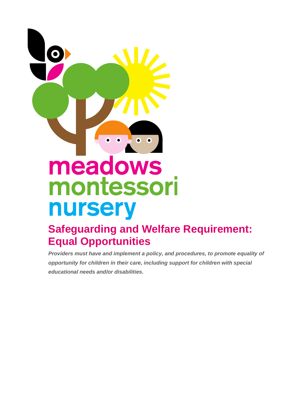# meadows montessori nursery

# **Safeguarding and Welfare Requirement: Equal Opportunities**

*Providers must have and implement a policy, and procedures, to promote equality of opportunity for children in their care, including support for children with special educational needs and/or disabilities.*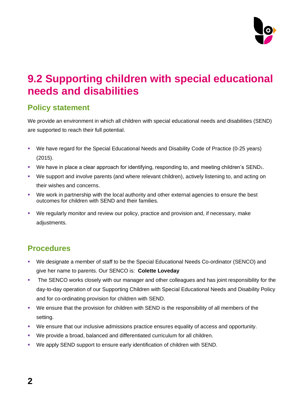

# **9.2 Supporting children with special educational needs and disabilities**

#### **Policy statement**

We provide an environment in which all children with special educational needs and disabilities (SEND) are supported to reach their full potential.

- We have regard for the Special Educational Needs and Disability Code of Practice (0-25 years) (2015).
- We have in place a clear approach for identifying, responding to, and meeting children's SEND<sub>1</sub>.
- We support and involve parents (and where relevant children), actively listening to, and acting on their wishes and concerns.
- We work in partnership with the local authority and other external agencies to ensure the best outcomes for children with SEND and their families.
- We regularly monitor and review our policy, practice and provision and, if necessary, make adiustments.

## **Procedures**

- We designate a member of staff to be the Special Educational Needs Co-ordinator (SENCO) and give her name to parents. Our SENCO is: **Colette Loveday**
- **The SENCO works closely with our manager and other colleagues and has joint responsibility for the** day-to-day operation of our Supporting Children with Special Educational Needs and Disability Policy and for co-ordinating provision for children with SEND.
- We ensure that the provision for children with SEND is the responsibility of all members of the setting.
- We ensure that our inclusive admissions practice ensures equality of access and opportunity.
- We provide a broad, balanced and differentiated curriculum for all children.
- We apply SEND support to ensure early identification of children with SEND.